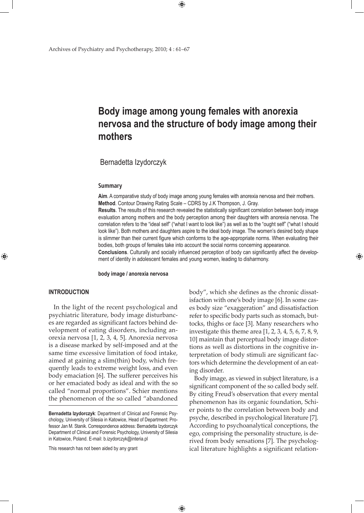# **Body image among young females with anorexia nervosa and the structure of body image among their mothers**

 $\bigoplus$ 

Bernadetta Izydorczyk

#### **Summary**

**Aim**. A comparative study of body image among young females with anorexia nervosa and their mothers. **Method**. Contour Drawing Rating Scale – CDRS by J.K Thompson, J. Gray.

**Results**. The results of this research revealed the statistically significant correlation between body image evaluation among mothers and the body perception among their daughters with anorexia nervosa. The correlation refers to the "ideal self" ("what I want to look like") as well as to the "ought self" ("what I should look like"). Both mothers and daughters aspire to the ideal body image. The women's desired body shape is slimmer than their current figure which conforms to the age-appropriate norms. When evaluating their bodies, both groups of females take into account the social norms concerning appearance.

**Conclusions**. Culturally and socially influenced perception of body can significantly affect the development of identity in adolescent females and young women, leading to disharmony.

 $\bigoplus$ 

**body image / anorexia nervosa**

# **INTRODUCTION**

⊕

In the light of the recent psychological and psychiatric literature, body image disturbances are regarded as significant factors behind development of eating disorders, including anorexia nervosa [1, 2, 3, 4, 5]. Anorexia nervosa is a disease marked by self-imposed and at the same time excessive limitation of food intake, aimed at gaining a slim(thin) body, which frequently leads to extreme weight loss, and even body emaciation [6]. The sufferer perceives his or her emaciated body as ideal and with the so called "normal proportions". Schier mentions the phenomenon of the so called "abandoned

This research has not been aided by any grant

body", which she defines as the chronic dissatisfaction with one's body image [6]. In some cases body size "exaggeration" and dissatisfaction refer to specific body parts such as stomach, buttocks, thighs or face [3]. Many researchers who investigate this theme area [1, 2, 3, 4, 5, 6, 7, 8, 9, 10] maintain that perceptual body image distortions as well as distortions in the cognitive interpretation of body stimuli are significant factors which determine the development of an eating disorder.

⊕

Body image, as viewed in subject literature, is a significant component of the so called body self. By citing Freud's observation that every mental phenomenon has its organic foundation, Schier points to the correlation between body and psyche, described in psychological literature [7]. According to psychoanalytical conceptions, the ego, comprising the personality structure, is derived from body sensations [7]. The psychological literature highlights a significant relation-

**Bernadetta Izydorczyk**: Department of Clinical and Forensic Psychology, University of Silesia in Katowice, Head of Department: Professor Jan M. Stanik. Correspondence address: Bernadetta Izydorczyk Department of Clinical and Forensic Psychology, University of Silesia in Katowice, Poland. E-mail: b.izydorczyk@interia.pl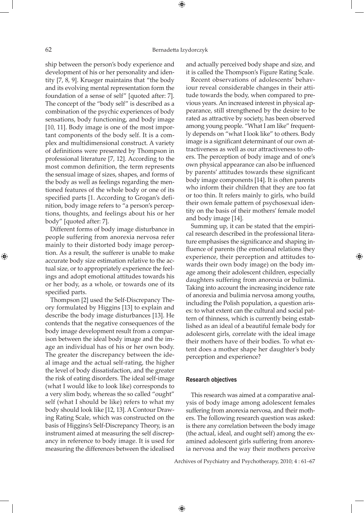⊕

ship between the person's body experience and development of his or her personality and identity [7, 8, 9]. Krueger maintains that "the body and its evolving mental representation form the foundation of a sense of self" [quoted after: 7]. The concept of the "body self" is described as a combination of the psychic experiences of body sensations, body functioning, and body image [10, 11]. Body image is one of the most important components of the body self. It is a complex and multidimensional construct. A variety of definitions were presented by Thompson in professional literature [7, 12]. According to the most common definition, the term represents the sensual image of sizes, shapes, and forms of the body as well as feelings regarding the mentioned features of the whole body or one of its specified parts [1. According to Grogan's definition, body image refers to "a person's perceptions, thoughts, and feelings about his or her body" [quoted after: 7].

Different forms of body image disturbance in people suffering from anorexia nervosa refer mainly to their distorted body image perception. As a result, the sufferer is unable to make accurate body size estimation relative to the actual size, or to appropriately experience the feelings and adopt emotional attitudes towards his or her body, as a whole, or towards one of its specified parts.

Thompson [2] used the Self-Discrepancy Theory formulated by Higgins [13] to explain and describe the body image disturbances [13]. He contends that the negative consequences of the body image development result from a comparison between the ideal body image and the image an individual has of his or her own body. The greater the discrepancy between the ideal image and the actual self-rating, the higher the level of body dissatisfaction, and the greater the risk of eating disorders. The ideal self-image (what I would like to look like) corresponds to a very slim body, whereas the so called "ought" self (what I should be like) refers to what my body should look like [12, 13]. A Contour Drawing Rating Scale, which was constructed on the basis of Higgins's Self-Discrepancy Theory, is an instrument aimed at measuring the self discrepancy in reference to body image. It is used for measuring the differences between the idealised

and actually perceived body shape and size, and it is called the Thompson's Figure Rating Scale.

Recent observations of adolescents' behaviour reveal considerable changes in their attitude towards the body, when compared to previous years. An increased interest in physical appearance, still strengthened by the desire to be rated as attractive by society, has been observed among young people. "What I am like" frequently depends on "what I look like" to others. Body image is a significant determinant of our own attractiveness as well as our attractiveness to others. The perception of body image and of one's own physical appearance can also be influenced by parents' attitudes towards these significant body image components [14]. It is often parents who inform their children that they are too fat or too thin. It refers mainly to girls, who build their own female pattern of psychosexual identity on the basis of their mothers' female model and body image [14].

Summing up, it can be stated that the empirical research described in the professional literature emphasises the significance and shaping influence of parents (the emotional relations they experience, their perception and attitudes towards their own body image) on the body image among their adolescent children, especially daughters suffering from anorexia or bulimia. Taking into account the increasing incidence rate of anorexia and bulimia nervosa among youths, including the Polish population, a question arises: to what extent can the cultural and social pattern of thinness, which is currently being established as an ideal of a beautiful female body for adolescent girls, correlate with the ideal image their mothers have of their bodies. To what extent does a mother shape her daughter's body perception and experience?

⊕

#### **Research objectives**

 $\bigoplus$ 

This research was aimed at a comparative analysis of body image among adolescent females suffering from anorexia nervosa, and their mothers. The following research question was asked: is there any correlation between the body image (the actual, ideal, and ought self) among the examined adolescent girls suffering from anorexia nervosa and the way their mothers perceive

Archives of Psychiatry and Psychotherapy, 2010; 4 : 61–67

⊕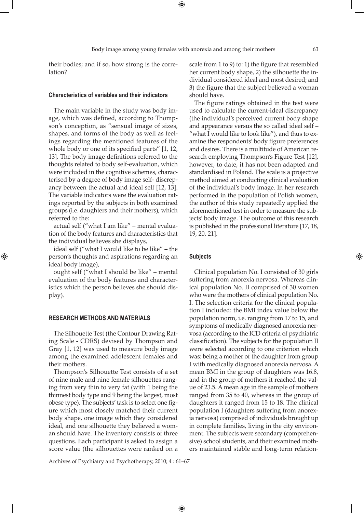⊕

⊕

their bodies; and if so, how strong is the correlation?

#### **Characteristics of variables and their indicators**

The main variable in the study was body image, which was defined, according to Thompson's conception, as "sensual image of sizes, shapes, and forms of the body as well as feelings regarding the mentioned features of the whole body or one of its specified parts" [1, 12, 13]. The body image definitions referred to the thoughts related to body self-evaluation, which were included in the cognitive schemes, characterised by a degree of body image self- discrepancy between the actual and ideal self [12, 13]. The variable indicators were the evaluation ratings reported by the subjects in both examined groups (i.e. daughters and their mothers), which referred to the:

actual self ("what I am like" – mental evaluation of the body features and characteristics that the individual believes she displays,

ideal self ("what I would like to be like" – the person's thoughts and aspirations regarding an ideal body image),

ought self ("what I should be like" – mental evaluation of the body features and characteristics which the person believes she should display).

#### **RESEARCH METHODS AND MATERIALS**

⊕

The Silhouette Test (the Contour Drawing Rating Scale - CDRS) devised by Thompson and Gray [1, 12] was used to measure body image among the examined adolescent females and their mothers.

Thompson's Silhouette Test consists of a set of nine male and nine female silhouettes ranging from very thin to very fat (with 1 being the thinnest body type and 9 being the largest, most obese type). The subjects' task is to select one figure which most closely matched their current body shape, one image which they considered ideal, and one silhouette they believed a woman should have. The inventory consists of three questions. Each participant is asked to assign a score value (the silhouettes were ranked on a

scale from 1 to 9) to: 1) the figure that resembled her current body shape, 2) the silhouette the individual considered ideal and most desired; and 3) the figure that the subject believed a woman should have.

The figure ratings obtained in the test were used to calculate the current-ideal discrepancy (the individual's perceived current body shape and appearance versus the so called ideal self – "what I would like to look like"), and thus to examine the respondents' body figure preferences and desires. There is a multitude of American research employing Thompson's Figure Test [12], however, to date, it has not been adapted and standardised in Poland. The scale is a projective method aimed at conducting clinical evaluation of the individual's body image. In her research performed in the population of Polish women, the author of this study repeatedly applied the aforementioned test in order to measure the subjects' body image. The outcome of this research is published in the professional literature [17, 18, 19, 20, 21].

## **Subjects**

 $\bigoplus$ 

Clinical population No. I consisted of 30 girls suffering from anorexia nervosa. Whereas clinical population No. II comprised of 30 women who were the mothers of clinical population No. I. The selection criteria for the clinical population I included: the BMI index value below the population norm, i.e. ranging from 17 to 15, and symptoms of medically diagnosed anorexia nervosa (according to the ICD criteria of psychiatric classification). The subjects for the population II were selected according to one criterion which was: being a mother of the daughter from group I with medically diagnosed anorexia nervosa. A mean BMI in the group of daughters was 16.8, and in the group of mothers it reached the value of 23.5. A mean age in the sample of mothers ranged from 35 to 40, whereas in the group of daughters it ranged from 15 to 18. The clinical population I (daughters suffering from anorexia nervosa) comprised of individuals brought up in complete families, living in the city environment. The subjects were secondary (comprehensive) school students, and their examined mothers maintained stable and long-term relation-

Archives of Psychiatry and Psychotherapy, 2010; 4 : 61–67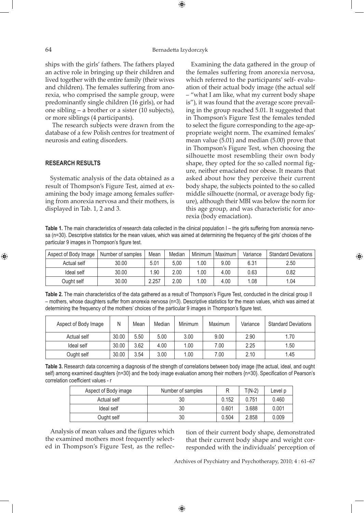### 64 Bernadetta Izydorczyk

 $\bigoplus$ 

ships with the girls' fathers. The fathers played an active role in bringing up their children and lived together with the entire family (their wives and children). The females suffering from anorexia, who comprised the sample group, were predominantly single children (16 girls), or had one sibling – a brother or a sister (10 subjects), or more siblings (4 participants).

 The research subjects were drawn from the database of a few Polish centres for treatment of neurosis and eating disorders.

# **RESEARCH RESULTS**

Systematic analysis of the data obtained as a result of Thompson's Figure Test, aimed at examining the body image among females suffering from anorexia nervosa and their mothers, is displayed in Tab. 1, 2 and 3.

Examining the data gathered in the group of the females suffering from anorexia nervosa, which referred to the participants' self- evaluation of their actual body image (the actual self – "what I am like, what my current body shape is"), it was found that the average score prevailing in the group reached 5.01. It suggested that in Thompson's Figure Test the females tended to select the figure corresponding to the age-appropriate weight norm. The examined females' mean value (5.01) and median (5.00) prove that in Thompson's Figure Test, when choosing the silhouette most resembling their own body shape, they opted for the so called normal figure, neither emaciated nor obese. It means that asked about how they perceive their current body shape, the subjects pointed to the so called middle silhouette (normal, or average body figure), although their MBI was below the norm for this age group, and was characteristic for anorexia (body emaciation).

⊕

Table 1. The main characteristics of research data collected in the clinical population I – the girls suffering from anorexia nervosa (n=30). Descriptive statistics for the mean values, which was aimed at determining the frequency of the girls' choices of the particular 9 images in Thompson's figure test.

| Aspect of Body Image | Number of samples | Mean  | Median | Minimum | Maximum | Variance | Standard Deviations |
|----------------------|-------------------|-------|--------|---------|---------|----------|---------------------|
| Actual self          | 30.00             | 5.01  | 5.00   | .00     | 9.00    | 6.31     | 2.50                |
| Ideal self           | 30.00             | 1.90  | 2.00   | .00     | 4.00    | 0.63     | 0.82                |
| Ought self           | 30.00             | 2.257 | 2.00   | .00     | 4.00    | 1.08     | 1.04                |

**Table 2.** The main characteristics of the data gathered as a result of Thompson's Figure Test, conducted in the clinical group II – mothers, whose daughters suffer from anorexia nervosa (n=3). Descriptive statistics for the mean values, which was aimed at determining the frequency of the mothers' choices of the particular 9 images in Thompson's figure test.

| Aspect of Body Image | Ν     | Mean | Median | Minimum | Maximum | Variance | <b>Standard Deviations</b> |
|----------------------|-------|------|--------|---------|---------|----------|----------------------------|
| Actual self          | 30.00 | 5.50 | 5.00   | 3.00    | 9.00    | 2.90     | 1.70                       |
| Ideal self           | 30.00 | 3.62 | 4.00   | 1.00    | 7.00    | 2.25     | 1.50                       |
| Ought self           | 30.00 | 3.54 | 3.00   | 1.00    | 7.00    | 2.10     | 1.45                       |

**Table 3.** Research data concerning a diagnosis of the strength of correlations between body image (the actual, ideal, and ought self) among examined daughters {n=30} and the body image evaluation among their mothers {n=30}. Specification of Pearson's correlation coefficient values - r

| Aspect of Body image | Number of samples |       | $T(N-2)$ | Level p |
|----------------------|-------------------|-------|----------|---------|
| Actual self          | 30                | 0.152 | 0.751    | 0.460   |
| Ideal self           | 30                | 0.601 | 3.688    | 0.001   |
| Ought self           | 30                | 0.504 | 2.858    | 0.009   |

 $\bigoplus$ 

Analysis of mean values and the figures which the examined mothers most frequently selected in Thompson's Figure Test, as the reflection of their current body shape, demonstrated that their current body shape and weight corresponded with the individuals' perception of

Archives of Psychiatry and Psychotherapy, 2010; 4 : 61–67

⊕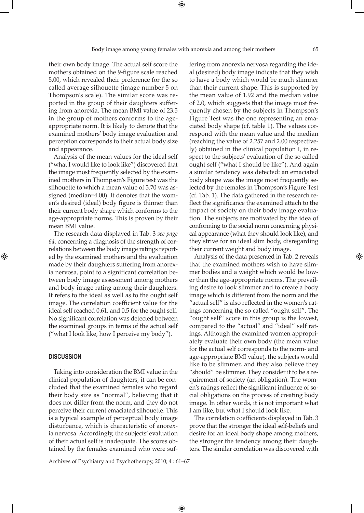their own body image. The actual self score the mothers obtained on the 9-figure scale reached 5.00, which revealed their preference for the so called average silhouette (image number 5 on Thompson's scale). The similar score was reported in the group of their daughters suffering from anorexia. The mean BMI value of 23.5 in the group of mothers conforms to the ageappropriate norm. It is likely to denote that the examined mothers' body image evaluation and perception corresponds to their actual body size and appearance.

Analysis of the mean values for the ideal self ("what I would like to look like") discovered that the image most frequently selected by the examined mothers in Thompson's Figure test was the silhouette to which a mean value of 3.70 was assigned (median=4.00). It denotes that the women's desired (ideal) body figure is thinner than their current body shape which conforms to the age-appropriate norms. This is proven by their mean BMI value.

The research data displayed in Tab. 3 *see page 64*, concerning a diagnosis of the strength of correlations between the body image ratings reported by the examined mothers and the evaluation made by their daughters suffering from anorexia nervosa, point to a significant correlation between body image assessment among mothers and body image rating among their daughters. It refers to the ideal as well as to the ought self image. The correlation coefficient value for the ideal self reached 0.61, and 0.5 for the ought self. No significant correlation was detected between the examined groups in terms of the actual self ("what I look like, how I perceive my body").

## **DISCUSSION**

⊕

Taking into consideration the BMI value in the clinical population of daughters, it can be concluded that the examined females who regard their body size as "normal", believing that it does not differ from the norm, and they do not perceive their current emaciated silhouette. This is a typical example of perceptual body image disturbance, which is characteristic of anorexia nervosa. Accordingly, the subjects' evaluation of their actual self is inadequate. The scores obtained by the females examined who were suffering from anorexia nervosa regarding the ideal (desired) body image indicate that they wish to have a body which would be much slimmer than their current shape. This is supported by the mean value of 1.92 and the median value of 2.0, which suggests that the image most frequently chosen by the subjects in Thompson's Figure Test was the one representing an emaciated body shape (cf. table 1). The values correspond with the mean value and the median (reaching the value of 2.257 and 2.00 respectively) obtained in the clinical population I, in respect to the subjects' evaluation of the so called ought self ("what I should be like"). And again a similar tendency was detected: an emaciated body shape was the image most frequently selected by the females in Thompson's Figure Test (cf. Tab. 1). The data gathered in the research reflect the significance the examined attach to the impact of society on their body image evaluation. The subjects are motivated by the idea of conforming to the social norm concerning physical appearance (what they should look like), and they strive for an ideal slim body, disregarding their current weight and body image.

Analysis of the data presented in Tab. 2 reveals that the examined mothers wish to have slimmer bodies and a weight which would be lower than the age-appropriate norms. The prevailing desire to look slimmer and to create a body image which is different from the norm and the "actual self" is also reflected in the women's ratings concerning the so called "ought self". The "ought self" score in this group is the lowest, compared to the "actual" and "ideal" self ratings. Although the examined women appropriately evaluate their own body (the mean value for the actual self corresponds to the norm- and age-appropriate BMI value), the subjects would like to be slimmer, and they also believe they "should" be slimmer. They consider it to be a requirement of society (an obligation). The women's ratings reflect the significant influence of social obligations on the process of creating body image. In other words, it is not important what I am like, but what I should look like.

The correlation coefficients displayed in Tab. 3 prove that the stronger the ideal self-beliefs and desire for an ideal body shape among mothers, the stronger the tendency among their daughters. The similar correlation was discovered with

Archives of Psychiatry and Psychotherapy, 2010; 4 : 61–67

 $\bigoplus$ 

⊕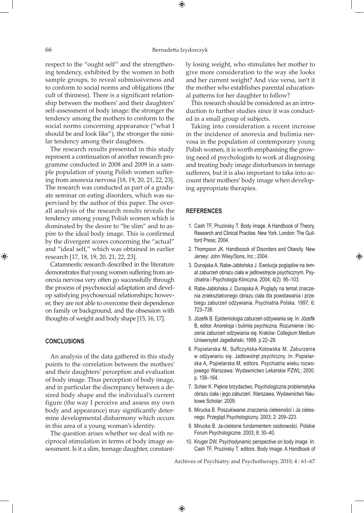#### 66 Bernadetta Izydorczyk

 $\bigoplus$ 

respect to the "ought self" and the strengthening tendency, exhibited by the women in both sample groups, to reveal submissiveness and to conform to social norms and obligations (the cult of thinness). There is a significant relationship between the mothers' and their daughters' self-assessment of body image: the stronger the tendency among the mothers to conform to the social norms concerning appearance ("what I should be and look like"), the stronger the similar tendency among their daughters.

The research results presented in this study represent a continuation of another research programme conducted in 2008 and 2009 in a sample population of young Polish women suffering from anorexia nervosa [18, 19, 20, 21, 22, 23]. The research was conducted as part of a graduate seminar on eating disorders, which was supervised by the author of this paper. The overall analysis of the research results reveals the tendency among young Polish women which is dominated by the desire to "be slim" and to aspire to the ideal body image. This is confirmed by the divergent scores concerning the "actual" and "ideal self," which was obtained in earlier research [17, 18, 19, 20, 21, 22, 23].

Catamnestic research described in the literature demonstrates that young women suffering from anorexia nervosa very often go successfully through the process of psychosocial adaptation and develop satisfying psychosexual relationships; however, they are not able to overcome their dependence on family or background, and the obsession with thoughts of weight and body shape [15, 16, 17].

## **CONCLUSIONS**

⊕

An analysis of the data gathered in this study points to the correlation between the mothers' and their daughters' perception and evaluation of body image. Thus perception of body image, and in particular the discrepancy between a desired body shape and the individual's current figure (the way I perceive and assess my own body and appearance) may significantly determine developmental disharmony which occurs in this area of a young woman's identity.

The question arises whether we deal with reciprocal stimulation in terms of body image assessment. Is it a slim, teenage daughter, constantly losing weight, who stimulates her mother to give more consideration to the way she looks and her current weight? And vice versa, isn't it the mother who establishes parental educational patterns for her daughter to follow?

This research should be considered as an introduction to further studies since it was conducted in a small group of subjects.

Taking into consideration a recent increase in the incidence of anorexia and bulimia nervosa in the population of contemporary young Polish women, it is worth emphasising the growing need of psychologists to work at diagnosing and treating body image disturbances in teenage sufferers, but it is also important to take into account their mothers' body image when developing appropriate therapies.

#### **REFERENCES**

- 1. Cash TF, Pruzinsky T. Body image. A Handbook of Theory, Research and Clinical Practise. New York. London: The Guilford Press; 2004.
- 2. Thompson JK. Handboock of Disorders and Obesity. New Jersey: John Wiley/Sons, Inc.; 2004.

⊕

- 3. Dunajska A, Rabe-Jabłońska J. Ewolucja poglądów na temat zaburzeń obrazu ciała w jadłowstręcie psychicznym. Psychiatria i Psychologia Kliniczna. 2004; 4(2): 95–103.
- 4. Rabe-Jabłońska J, Dunajska A. Poglądy na temat znaczenia zniekształconego obrazu ciała dla powstawania i przebiegu zaburzeń odżywiania. Psychiatria Polska. 1997; 6: 723–738.
- 5. Józefik B. Epidemiologia zaburzeń odżywiania się. In: Józefik B, editor. Anoreksja i bulimia psychiczna. Rozumienie i leczenie zaburzeń odżywiania się. Kraków: Collegium Medium Uniwersytet Jagielloński; 1999. p 22–29.
- 6. Popielarska M, Suffczyńska-Kotowska M. Zaburzenia w odżywianiu się. Jadłowstręt psychiczny. In: Popielarska A, Popielarska M, editors. Psychiatria wieku rozwojowego Warszawa: Wydawnictwo Lekarskie PZWL; 2000. p. 156–164.
- 7. Schier K. Piękne brzydactwo. Psychologiczna problematyka obrazu ciała i jego zaburzeń. Warszawa, Wydawnictwo Naukowe Scholar; 2009.
- 8. Mirucka B. Poszukiwanie znaczenia cielesności i Ja cielesnego. Przegląd Psychologiczny. 2003; 2: 209–223.
- 9. Mirucka B. Ja-cielesne fundamentem osobowości. Polskie Forum Psychologiczne. 2003; 8: 30–40.
- 10. Kruger DW. Psychodynamic perspective on body image. In: Cash TF, Pruzinsky T. editors. Body Image. A Handbook of

Archives of Psychiatry and Psychotherapy, 2010; 4 : 61–67

 $\bigoplus$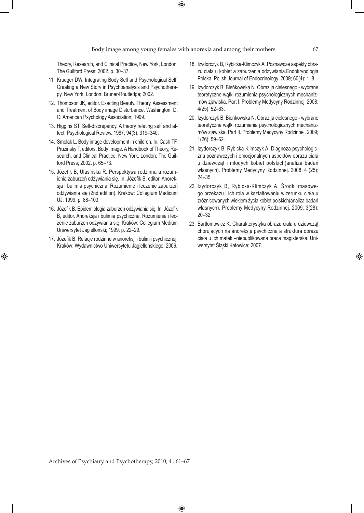$\bigoplus$ 

Theory, Research, and Clinical Practice, New York, London: The Guilford Press; 2002. p. 30–37.

- 11. Krueger DW. Integrating Body Self and Psychological Self. Creating a New Story in Psychoanalysis and Psychotherapy. New York. London: Bruner-Routledge; 2002.
- 12. Thompson JK, editor. Exacting Beauty. Theory, Assessment and Treatment of Body image Disturbance. Washington, D. C: American Psychology Association; 1999.
- 13. Higgins ST. Self-discrepancy. A theory relating self and affect. Psychological Review. 1987; 94(3): 319–340.
- 14. Smolak L. Body image development in children. In: Cash TF, Pruzinsky T, editors. Body Image. A Handbook of Theory, Research, and Clinical Practice, New York, London: The Guilford Press; 2002. p. 65–73.
- 15. Józefik B, Ulasińska R. Perspektywa rodzinna a rozumienia zaburzeń odżywiania się. In: Józefik B, editor. Anoreksja i bulimia psychiczna. Rozumienie i leczenie zaburzeń odżywiania się (2nd edition). Kraków: Collegium Medicum UJ; 1999. p. 88–103
- 16. Józefik B. Epidemiologia zaburzeń odżywiania się. In: Józefik B, editor. Anoreksja i bulimia psychiczna. Rozumienie i leczenie zaburzeń odżywiania się. Kraków: Collegium Medium Uniwersytet Jagielloński; 1999. p. 22–29.
- 17. Józefik B. Relacje rodzinne w anoreksji i bulimii psychicznej. Kraków: Wydawnictwo Uniwersytetu Jagiellońskiego; 2006.

⊕

- 18. Izydorczyk B, Rybicka-Klimczyk A. Poznawcze aspekty obrazu ciała u kobiet a zaburzenia odżywiania.Endokrynologia Polska. Polish Journal of Endocrinology. 2009; 60(4): 1–8.
- 19. Izydorczyk B, Bieńkowska N. Obraz ja cielesnego wybrane teoretyczne wątki rozumienia psychologicznych mechanizmów zjawiska. Part I. Problemy Medycyny Rodzinnej. 2008; 4(25): 52–63.
- 20. Izydorczyk B, Bieńkowska N. Obraz ja cielesnego wybrane teoretyczne wątki rozumienia psychologicznych mechanizmów zjawiska. Part II. Problemy Medycyny Rodzinnej. 2009; 1(26): 59–62.
- 21. Izydorczyk B, Rybicka-Klimczyk A. Diagnoza psychologiczna poznawczych i emocjonalnych aspektów obrazu ciała u dziewcząt i młodych kobiet polskich(analiza badań własnych). Problemy Medycyny Rodzinnej. 2008; 4 (25): 24–35.
- 22. Izydorczyk B, Rybicka-Klimczyk A. Środki masowego przekazu i ich rola w kształtowaniu wizerunku ciała u zróżnicowanych wiekiem życia kobiet polskich(analiza badań własnych). Problemy Medycyny Rodzinnej. 2009; 3(28): 20–32.
- 23. Bartłomowicz K. Charakterystyka obrazu ciała u dziewcząt chorujących na anoreksję psychiczną a struktura obrazu ciała u ich matek –niepublikowana praca magisterska: Uniwersytet Śląski Katowice; 2007.

⊕

 $\bigoplus$